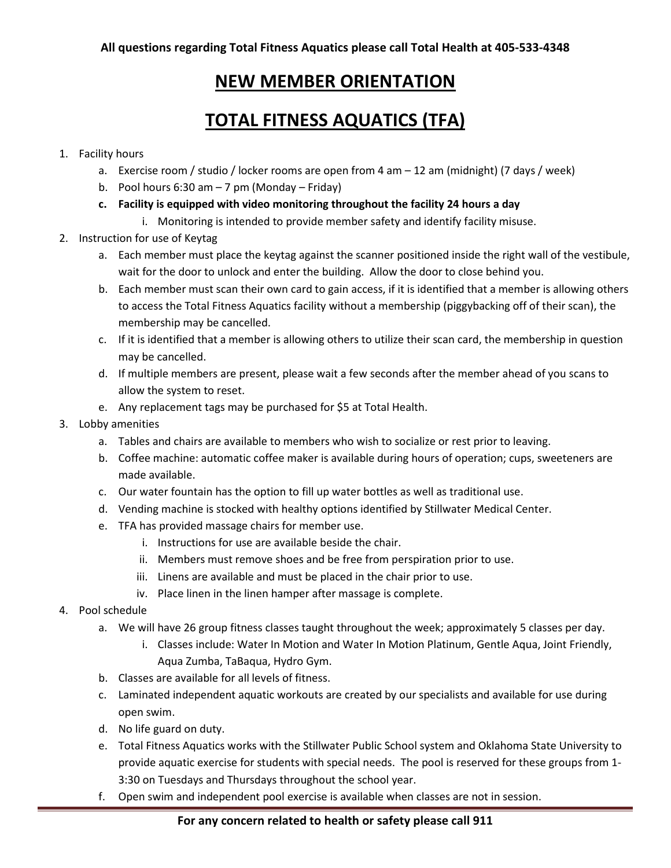# **NEW MEMBER ORIENTATION**

# **TOTAL FITNESS AQUATICS (TFA)**

#### 1. Facility hours

- a. Exercise room / studio / locker rooms are open from 4 am 12 am (midnight) (7 days / week)
- b. Pool hours 6:30 am  $-7$  pm (Monday Friday)
- **c. Facility is equipped with video monitoring throughout the facility 24 hours a day**
	- i. Monitoring is intended to provide member safety and identify facility misuse.
- 2. Instruction for use of Keytag
	- a. Each member must place the keytag against the scanner positioned inside the right wall of the vestibule, wait for the door to unlock and enter the building. Allow the door to close behind you.
	- b. Each member must scan their own card to gain access, if it is identified that a member is allowing others to access the Total Fitness Aquatics facility without a membership (piggybacking off of their scan), the membership may be cancelled.
	- c. If it is identified that a member is allowing others to utilize their scan card, the membership in question may be cancelled.
	- d. If multiple members are present, please wait a few seconds after the member ahead of you scans to allow the system to reset.
	- e. Any replacement tags may be purchased for \$5 at Total Health.
- 3. Lobby amenities
	- a. Tables and chairs are available to members who wish to socialize or rest prior to leaving.
	- b. Coffee machine: automatic coffee maker is available during hours of operation; cups, sweeteners are made available.
	- c. Our water fountain has the option to fill up water bottles as well as traditional use.
	- d. Vending machine is stocked with healthy options identified by Stillwater Medical Center.
	- e. TFA has provided massage chairs for member use.
		- i. Instructions for use are available beside the chair.
		- ii. Members must remove shoes and be free from perspiration prior to use.
		- iii. Linens are available and must be placed in the chair prior to use.
		- iv. Place linen in the linen hamper after massage is complete.
- 4. Pool schedule
	- a. We will have 26 group fitness classes taught throughout the week; approximately 5 classes per day.
		- i. Classes include: Water In Motion and Water In Motion Platinum, Gentle Aqua, Joint Friendly, Aqua Zumba, TaBaqua, Hydro Gym.
	- b. Classes are available for all levels of fitness.
	- c. Laminated independent aquatic workouts are created by our specialists and available for use during open swim.
	- d. No life guard on duty.
	- e. Total Fitness Aquatics works with the Stillwater Public School system and Oklahoma State University to provide aquatic exercise for students with special needs. The pool is reserved for these groups from 1- 3:30 on Tuesdays and Thursdays throughout the school year.
	- f. Open swim and independent pool exercise is available when classes are not in session.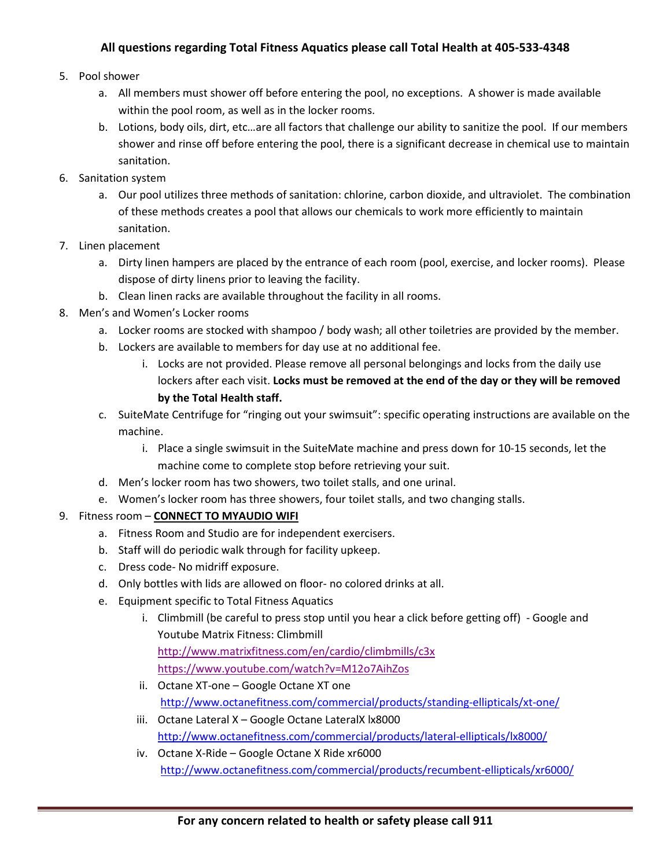# **All questions regarding Total Fitness Aquatics please call Total Health at 405-533-4348**

#### 5. Pool shower

- a. All members must shower off before entering the pool, no exceptions. A shower is made available within the pool room, as well as in the locker rooms.
- b. Lotions, body oils, dirt, etc…are all factors that challenge our ability to sanitize the pool. If our members shower and rinse off before entering the pool, there is a significant decrease in chemical use to maintain sanitation.
- 6. Sanitation system
	- a. Our pool utilizes three methods of sanitation: chlorine, carbon dioxide, and ultraviolet. The combination of these methods creates a pool that allows our chemicals to work more efficiently to maintain sanitation.
- 7. Linen placement
	- a. Dirty linen hampers are placed by the entrance of each room (pool, exercise, and locker rooms). Please dispose of dirty linens prior to leaving the facility.
	- b. Clean linen racks are available throughout the facility in all rooms.
- 8. Men's and Women's Locker rooms
	- a. Locker rooms are stocked with shampoo / body wash; all other toiletries are provided by the member.
	- b. Lockers are available to members for day use at no additional fee.
		- i. Locks are not provided. Please remove all personal belongings and locks from the daily use lockers after each visit. **Locks must be removed at the end of the day or they will be removed by the Total Health staff.**
	- c. SuiteMate Centrifuge for "ringing out your swimsuit": specific operating instructions are available on the machine.
		- i. Place a single swimsuit in the SuiteMate machine and press down for 10-15 seconds, let the machine come to complete stop before retrieving your suit.
	- d. Men's locker room has two showers, two toilet stalls, and one urinal.
	- e. Women's locker room has three showers, four toilet stalls, and two changing stalls.

#### 9. Fitness room – **CONNECT TO MYAUDIO WIFI**

- a. Fitness Room and Studio are for independent exercisers.
- b. Staff will do periodic walk through for facility upkeep.
- c. Dress code- No midriff exposure.
- d. Only bottles with lids are allowed on floor- no colored drinks at all.
- e. Equipment specific to Total Fitness Aquatics
	- i. Climbmill (be careful to press stop until you hear a click before getting off) Google and Youtube Matrix Fitness: Climbmill <http://www.matrixfitness.com/en/cardio/climbmills/c3x>
		- <https://www.youtube.com/watch?v=M12o7AihZos>
	- ii. Octane XT-one Google Octane XT one <http://www.octanefitness.com/commercial/products/standing-ellipticals/xt-one/>
	- iii. Octane Lateral X Google Octane LateralX lx8000 <http://www.octanefitness.com/commercial/products/lateral-ellipticals/lx8000/>
	- iv. Octane X-Ride Google Octane X Ride xr6000 <http://www.octanefitness.com/commercial/products/recumbent-ellipticals/xr6000/>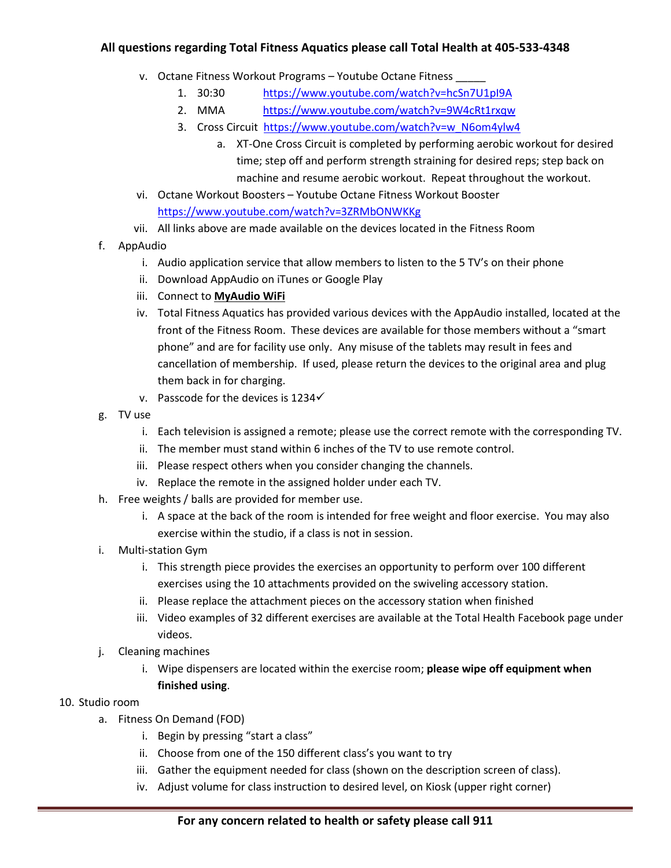# **All questions regarding Total Fitness Aquatics please call Total Health at 405-533-4348**

- v. Octane Fitness Workout Programs Youtube Octane Fitness
	- 1. 30:30 <https://www.youtube.com/watch?v=hcSn7U1pI9A>
	- 2. MMA <https://www.youtube.com/watch?v=9W4cRt1rxqw>
	- 3. Cross Circuit [https://www.youtube.com/watch?v=w\\_N6om4ylw4](https://www.youtube.com/watch?v=w_N6om4ylw4)
		- a. XT-One Cross Circuit is completed by performing aerobic workout for desired time; step off and perform strength straining for desired reps; step back on machine and resume aerobic workout. Repeat throughout the workout.
- vi. Octane Workout Boosters Youtube Octane Fitness Workout Booster <https://www.youtube.com/watch?v=3ZRMbONWKKg>
- vii. All links above are made available on the devices located in the Fitness Room
- f. AppAudio
	- i. Audio application service that allow members to listen to the 5 TV's on their phone
	- ii. Download AppAudio on iTunes or Google Play
	- iii. Connect to **MyAudio WiFi**
	- iv. Total Fitness Aquatics has provided various devices with the AppAudio installed, located at the front of the Fitness Room. These devices are available for those members without a "smart phone" and are for facility use only. Any misuse of the tablets may result in fees and cancellation of membership. If used, please return the devices to the original area and plug them back in for charging.
	- v. Passcode for the devices is  $1234\check{ }$
- g. TV use
	- i. Each television is assigned a remote; please use the correct remote with the corresponding TV.
	- ii. The member must stand within 6 inches of the TV to use remote control.
	- iii. Please respect others when you consider changing the channels.
	- iv. Replace the remote in the assigned holder under each TV.
- h. Free weights / balls are provided for member use.
	- i. A space at the back of the room is intended for free weight and floor exercise. You may also exercise within the studio, if a class is not in session.
- i. Multi-station Gym
	- i. This strength piece provides the exercises an opportunity to perform over 100 different exercises using the 10 attachments provided on the swiveling accessory station.
	- ii. Please replace the attachment pieces on the accessory station when finished
	- iii. Video examples of 32 different exercises are available at the Total Health Facebook page under videos.
- j. Cleaning machines
	- i. Wipe dispensers are located within the exercise room; **please wipe off equipment when finished using**.
- 10. Studio room
	- a. Fitness On Demand (FOD)
		- i. Begin by pressing "start a class"
		- ii. Choose from one of the 150 different class's you want to try
		- iii. Gather the equipment needed for class (shown on the description screen of class).
		- iv. Adjust volume for class instruction to desired level, on Kiosk (upper right corner)